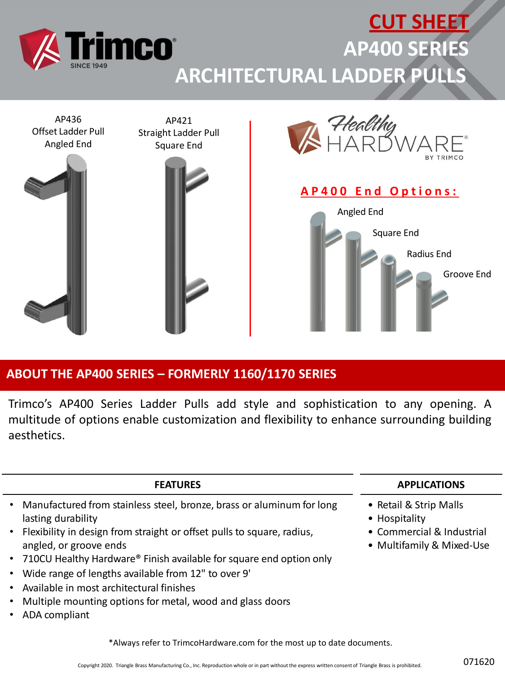

## **ABOUT THE AP400 SERIES – FORMERLY 1160/1170 SERIES**

Trimco's AP400 Series Ladder Pulls add style and sophistication to any opening. A multitude of options enable customization and flexibility to enhance surrounding building aesthetics.

| <b>FEATURES</b>                                                                                    | <b>APPLICATIONS</b>                                    |
|----------------------------------------------------------------------------------------------------|--------------------------------------------------------|
| • Manufactured from stainless steel, bronze, brass or aluminum for long<br>lasting durability      | • Retail & Strip Malls<br>• Hospitality                |
| • Flexibility in design from straight or offset pulls to square, radius,<br>angled, or groove ends | • Commercial & Industrial<br>• Multifamily & Mixed-Use |
| • 710CU Healthy Hardware® Finish available for square end option only                              |                                                        |
| • Wide range of lengths available from 12" to over 9'                                              |                                                        |
| • Available in most architectural finishes                                                         |                                                        |

- Multiple mounting options for metal, wood and glass doors
- ADA compliant

\*Always refer to TrimcoHardware.com for the most up to date documents.